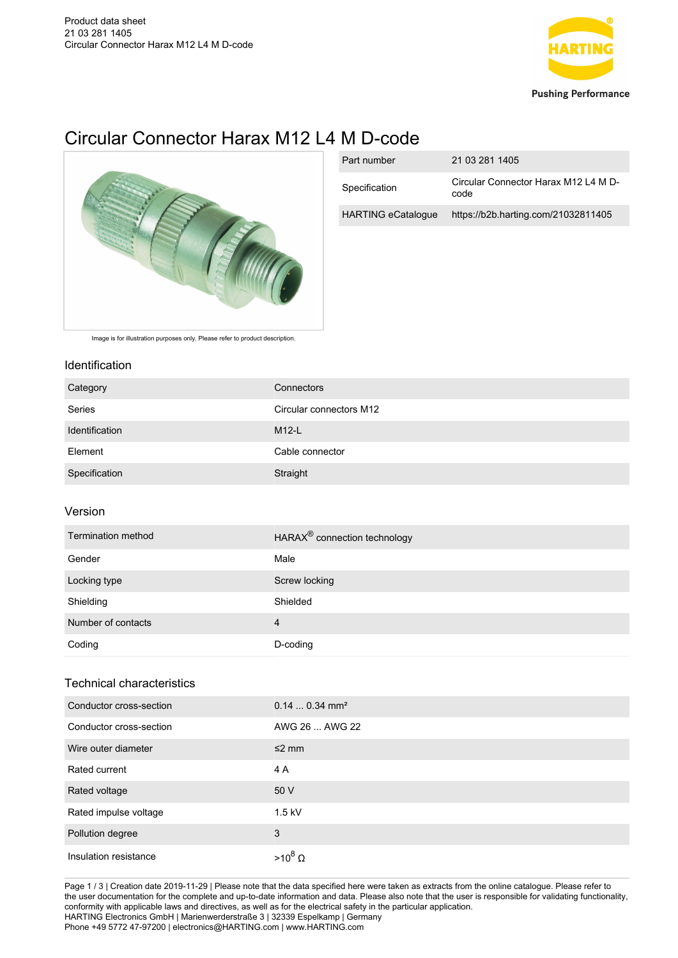

# Circular Connector Harax M12 L4 M D-code



| Part number               | 21 03 281 1405                               |
|---------------------------|----------------------------------------------|
| Specification             | Circular Connector Harax M12 L4 M D-<br>code |
| <b>HARTING eCatalogue</b> | https://b2b.harting.com/21032811405          |

Image is for illustration purposes only. Please refer to product description.

#### Identification

| Category       | Connectors              |
|----------------|-------------------------|
| Series         | Circular connectors M12 |
| Identification | $M12-L$                 |
| Element        | Cable connector         |
| Specification  | Straight                |

## Version

| Termination method | HARAX <sup>®</sup> connection technology |
|--------------------|------------------------------------------|
| Gender             | Male                                     |
| Locking type       | Screw locking                            |
| Shielding          | Shielded                                 |
| Number of contacts | 4                                        |
| Coding             | D-coding                                 |

## Technical characteristics

| Conductor cross-section | $0.140.34$ mm <sup>2</sup> |
|-------------------------|----------------------------|
| Conductor cross-section | AWG 26  AWG 22             |
| Wire outer diameter     | $\leq$ mm                  |
| Rated current           | 4 A                        |
| Rated voltage           | 50 V                       |
| Rated impulse voltage   | $1.5$ kV                   |
| Pollution degree        | 3                          |
| Insulation resistance   | $>10^8$ $\Omega$           |

Page 1 / 3 | Creation date 2019-11-29 | Please note that the data specified here were taken as extracts from the online catalogue. Please refer to the user documentation for the complete and up-to-date information and data. Please also note that the user is responsible for validating functionality, conformity with applicable laws and directives, as well as for the electrical safety in the particular application. HARTING Electronics GmbH | Marienwerderstraße 3 | 32339 Espelkamp | Germany Phone +49 5772 47-97200 | electronics@HARTING.com | www.HARTING.com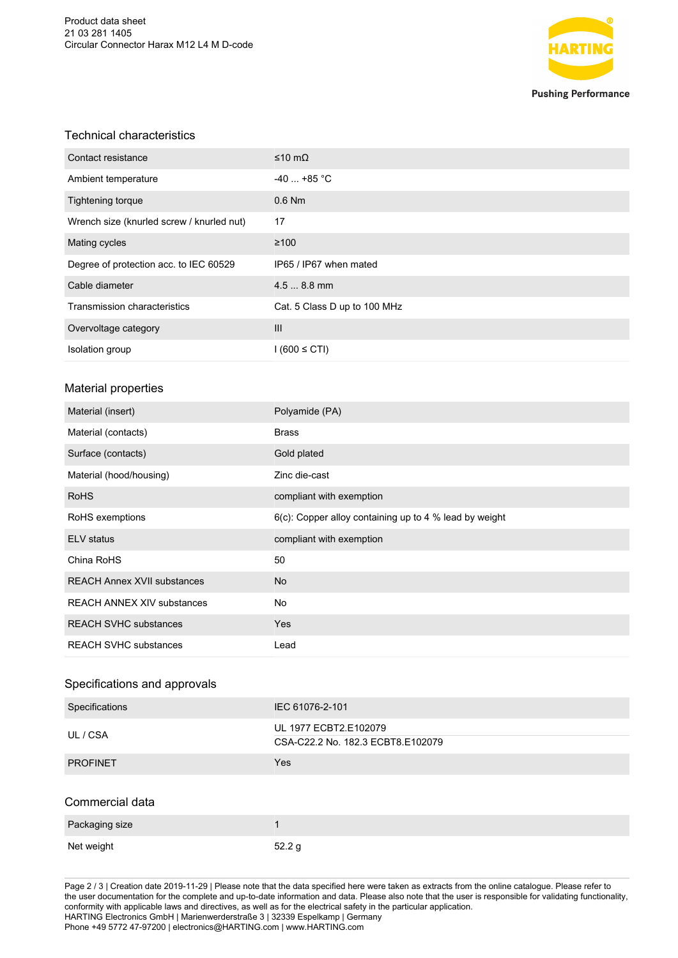

#### Technical characteristics

| Contact resistance                        | ≤10 mΩ                       |
|-------------------------------------------|------------------------------|
| Ambient temperature                       | $-40$ +85 °C                 |
| <b>Tightening torque</b>                  | $0.6$ Nm                     |
| Wrench size (knurled screw / knurled nut) | 17                           |
| Mating cycles                             | $\geq 100$                   |
| Degree of protection acc. to IEC 60529    | IP65 / IP67 when mated       |
| Cable diameter                            | $4.58.8$ mm                  |
| Transmission characteristics              | Cat. 5 Class D up to 100 MHz |
| Overvoltage category                      | III                          |
| Isolation group                           | $1(600 \leq CTI)$            |

### Material properties

| Material (insert)                  | Polyamide (PA)                                         |
|------------------------------------|--------------------------------------------------------|
| Material (contacts)                | <b>Brass</b>                                           |
| Surface (contacts)                 | Gold plated                                            |
| Material (hood/housing)            | Zinc die-cast                                          |
| <b>RoHS</b>                        | compliant with exemption                               |
| RoHS exemptions                    | 6(c): Copper alloy containing up to 4 % lead by weight |
| <b>ELV</b> status                  | compliant with exemption                               |
| China RoHS                         | 50                                                     |
| <b>REACH Annex XVII substances</b> | No                                                     |
| <b>REACH ANNEX XIV substances</b>  | No                                                     |
| <b>REACH SVHC substances</b>       | Yes                                                    |
| <b>REACH SVHC substances</b>       | Lead                                                   |

## Specifications and approvals

| Specifications  | IEC 61076-2-101                                            |
|-----------------|------------------------------------------------------------|
| UL / CSA        | UL 1977 ECBT2.E102079<br>CSA-C22.2 No. 182.3 ECBT8.E102079 |
| <b>PROFINET</b> | Yes                                                        |
| Commercial data |                                                            |
| Packaging size  | 1                                                          |
| Net weight      | 52.2 <sub>g</sub>                                          |

Page 2 / 3 | Creation date 2019-11-29 | Please note that the data specified here were taken as extracts from the online catalogue. Please refer to the user documentation for the complete and up-to-date information and data. Please also note that the user is responsible for validating functionality, conformity with applicable laws and directives, as well as for the electrical safety in the particular application. HARTING Electronics GmbH | Marienwerderstraße 3 | 32339 Espelkamp | Germany Phone +49 5772 47-97200 | electronics@HARTING.com | www.HARTING.com